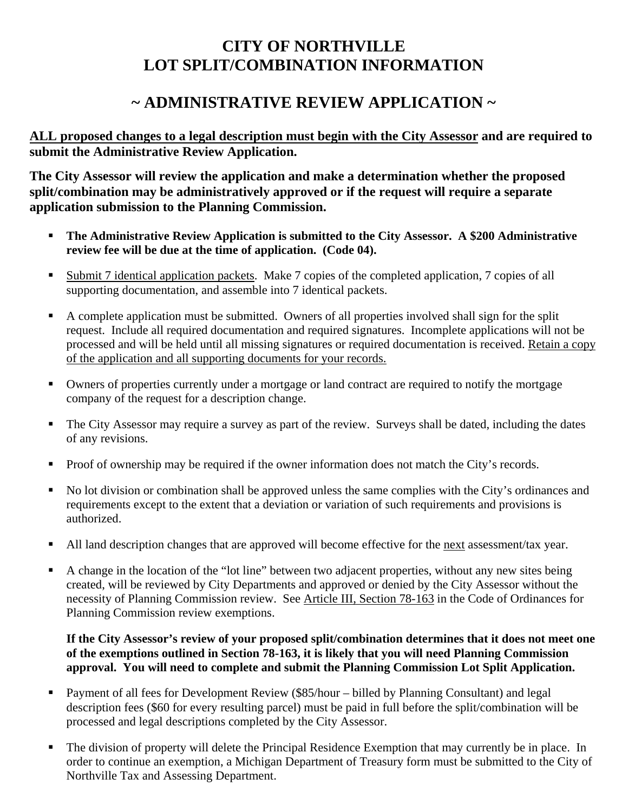# **CITY OF NORTHVILLE LOT SPLIT/COMBINATION INFORMATION**

## **~ ADMINISTRATIVE REVIEW APPLICATION ~**

**ALL proposed changes to a legal description must begin with the City Assessor and are required to submit the Administrative Review Application.** 

**The City Assessor will review the application and make a determination whether the proposed split/combination may be administratively approved or if the request will require a separate application submission to the Planning Commission.** 

- **The Administrative Review Application is submitted to the City Assessor. A \$200 Administrative review fee will be due at the time of application. (Code 04).**
- Submit 7 identical application packets. Make 7 copies of the completed application, 7 copies of all supporting documentation, and assemble into 7 identical packets.
- A complete application must be submitted. Owners of all properties involved shall sign for the split request. Include all required documentation and required signatures. Incomplete applications will not be processed and will be held until all missing signatures or required documentation is received. Retain a copy of the application and all supporting documents for your records.
- Owners of properties currently under a mortgage or land contract are required to notify the mortgage company of the request for a description change.
- The City Assessor may require a survey as part of the review. Surveys shall be dated, including the dates of any revisions.
- Proof of ownership may be required if the owner information does not match the City's records.
- No lot division or combination shall be approved unless the same complies with the City's ordinances and requirements except to the extent that a deviation or variation of such requirements and provisions is authorized.
- All land description changes that are approved will become effective for the <u>next</u> assessment/tax year.
- A change in the location of the "lot line" between two adjacent properties, without any new sites being created, will be reviewed by City Departments and approved or denied by the City Assessor without the necessity of Planning Commission review. See Article III, Section 78-163 in the Code of Ordinances for Planning Commission review exemptions.

### **If the City Assessor's review of your proposed split/combination determines that it does not meet one of the exemptions outlined in Section 78-163, it is likely that you will need Planning Commission approval. You will need to complete and submit the Planning Commission Lot Split Application.**

- **Payment of all fees for Development Review (\$85/hour billed by Planning Consultant) and legal** description fees (\$60 for every resulting parcel) must be paid in full before the split/combination will be processed and legal descriptions completed by the City Assessor.
- The division of property will delete the Principal Residence Exemption that may currently be in place. In order to continue an exemption, a Michigan Department of Treasury form must be submitted to the City of Northville Tax and Assessing Department.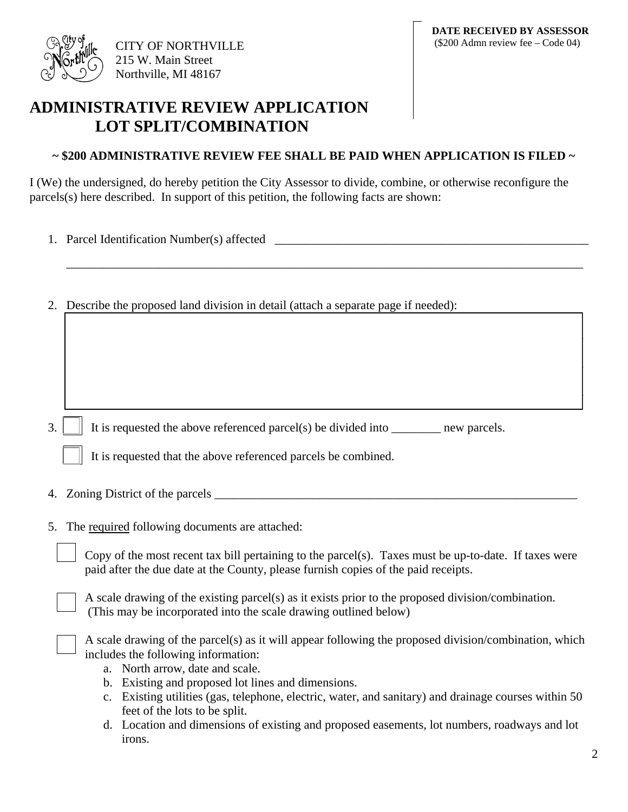

## **ADMINISTRATIVE REVIEW APPLICATION LOT SPLIT/COMBINATION**

### **~ \$200 ADMINISTRATIVE REVIEW FEE SHALL BE PAID WHEN APPLICATION IS FILED ~**

\_\_\_\_\_\_\_\_\_\_\_\_\_\_\_\_\_\_\_\_\_\_\_\_\_\_\_\_\_\_\_\_\_\_\_\_\_\_\_\_\_\_\_\_\_\_\_\_\_\_\_\_\_\_\_\_\_\_\_\_\_\_\_\_\_\_\_\_\_\_\_\_\_\_\_\_\_\_\_\_\_\_\_\_

 $\Box$ 

 $\Box$  , and the contribution of the contribution of the contribution of the contribution of  $\Box$ 

 $\Box$  , and the contribution of the contribution of the contribution of the contribution of  $\Box$ 

I (We) the undersigned, do hereby petition the City Assessor to divide, combine, or otherwise reconfigure the parcels(s) here described. In support of this petition, the following facts are shown:

- 1. Parcel Identification Number(s) affected
- 2. Describe the proposed land division in detail (attach a separate page if needed):

3.  $\Box$  It is requested the above referenced parcel(s) be divided into  $\Box$  new parcels.

|  | It is requested that the above referenced parcels be combined. |
|--|----------------------------------------------------------------|
|--|----------------------------------------------------------------|

- 4. Zoning District of the parcels \_\_\_\_\_\_\_\_\_\_\_\_\_\_\_\_\_\_\_\_\_\_\_\_\_\_\_\_\_\_\_\_\_\_\_\_\_\_\_\_\_\_\_\_\_\_\_\_\_\_\_\_\_\_\_\_\_\_\_
- 5. The required following documents are attached:

Copy of the most recent tax bill pertaining to the parcel(s). Taxes must be up-to-date. If taxes were paid after the due date at the County, please furnish copies of the paid receipts.

A scale drawing of the existing parcel(s) as it exists prior to the proposed division/combination. (This may be incorporated into the scale drawing outlined below)

A scale drawing of the parcel(s) as it will appear following the proposed division/combination, which includes the following information:

- a. North arrow, date and scale.
- b. Existing and proposed lot lines and dimensions.
- c. Existing utilities (gas, telephone, electric, water, and sanitary) and drainage courses within 50 feet of the lots to be split.
- d. Location and dimensions of existing and proposed easements, lot numbers, roadways and lot irons.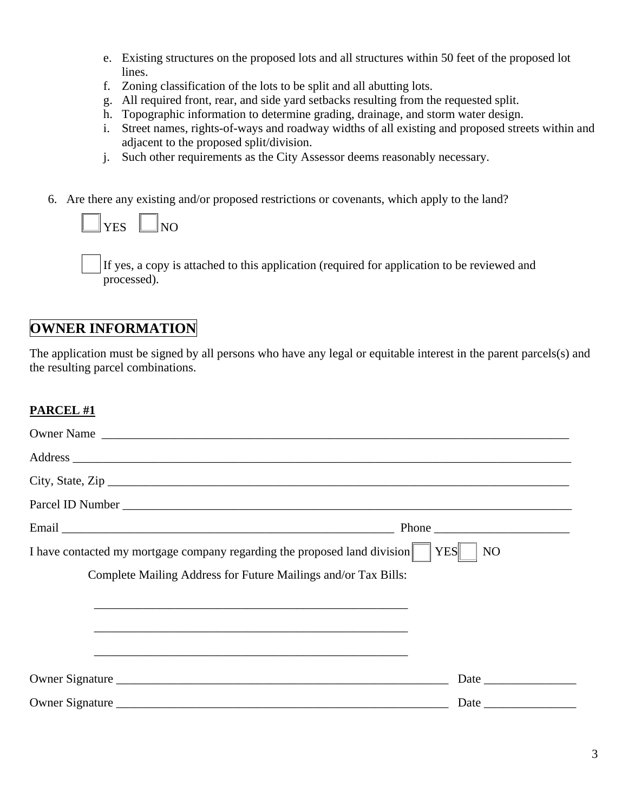- e. Existing structures on the proposed lots and all structures within 50 feet of the proposed lot lines.
- f. Zoning classification of the lots to be split and all abutting lots.
- g. All required front, rear, and side yard setbacks resulting from the requested split.
- h. Topographic information to determine grading, drainage, and storm water design.
- i. Street names, rights-of-ways and roadway widths of all existing and proposed streets within and adjacent to the proposed split/division.
- j. Such other requirements as the City Assessor deems reasonably necessary.
- 6. Are there any existing and/or proposed restrictions or covenants, which apply to the land?

 $\overline{YES}$   $\Box$ NO

If yes, a copy is attached to this application (required for application to be reviewed and processed).

## **OWNER INFORMATION**

The application must be signed by all persons who have any legal or equitable interest in the parent parcels(s) and the resulting parcel combinations.

### **PARCEL #1**

| Owner Name                                                                                                                                                      |                  |
|-----------------------------------------------------------------------------------------------------------------------------------------------------------------|------------------|
|                                                                                                                                                                 |                  |
|                                                                                                                                                                 | City, State, Zip |
|                                                                                                                                                                 |                  |
|                                                                                                                                                                 |                  |
| I have contacted my mortgage company regarding the proposed land division $\ \cdot\ $ YES    <br>Complete Mailing Address for Future Mailings and/or Tax Bills: | N <sub>O</sub>   |
|                                                                                                                                                                 |                  |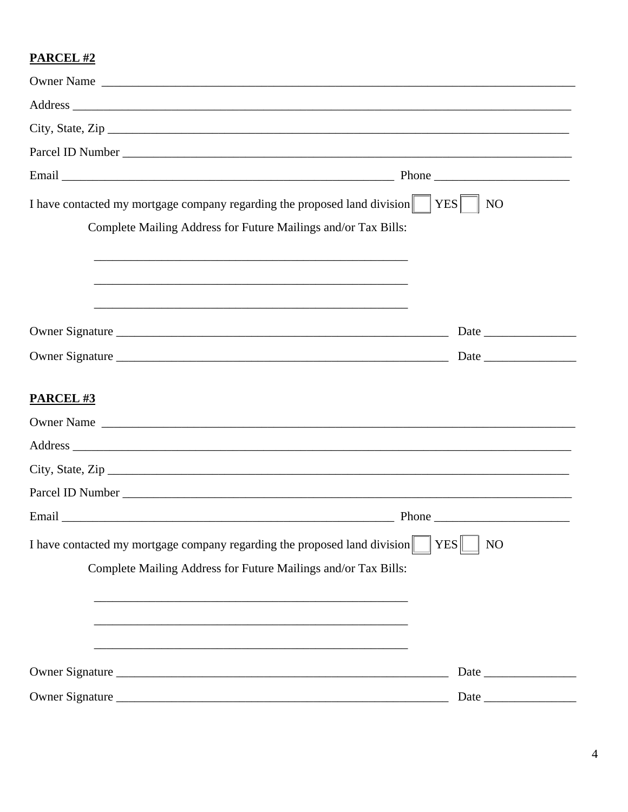## **PARCEL #2**

| Owner Name                                                                                                            |                  |
|-----------------------------------------------------------------------------------------------------------------------|------------------|
|                                                                                                                       |                  |
|                                                                                                                       | City, State, Zip |
|                                                                                                                       |                  |
|                                                                                                                       |                  |
| I have contacted my mortgage company regarding the proposed land division $\parallel$ YES                             | NO               |
| Complete Mailing Address for Future Mailings and/or Tax Bills:                                                        |                  |
|                                                                                                                       |                  |
|                                                                                                                       |                  |
| <u> 1989 - Johann Stoff, deutscher Stoff, der Stoff, der Stoff, der Stoff, der Stoff, der Stoff, der Stoff, der S</u> |                  |
|                                                                                                                       |                  |
|                                                                                                                       |                  |
|                                                                                                                       |                  |
| <b>PARCEL#3</b>                                                                                                       |                  |
|                                                                                                                       |                  |
|                                                                                                                       |                  |
|                                                                                                                       |                  |
|                                                                                                                       |                  |
|                                                                                                                       |                  |
| I have contacted my mortgage company regarding the proposed land division                                             | YES<br>NO        |
| Complete Mailing Address for Future Mailings and/or Tax Bills:                                                        |                  |
|                                                                                                                       |                  |
|                                                                                                                       |                  |
|                                                                                                                       |                  |
|                                                                                                                       |                  |
|                                                                                                                       |                  |
| Owner Signature                                                                                                       | Date             |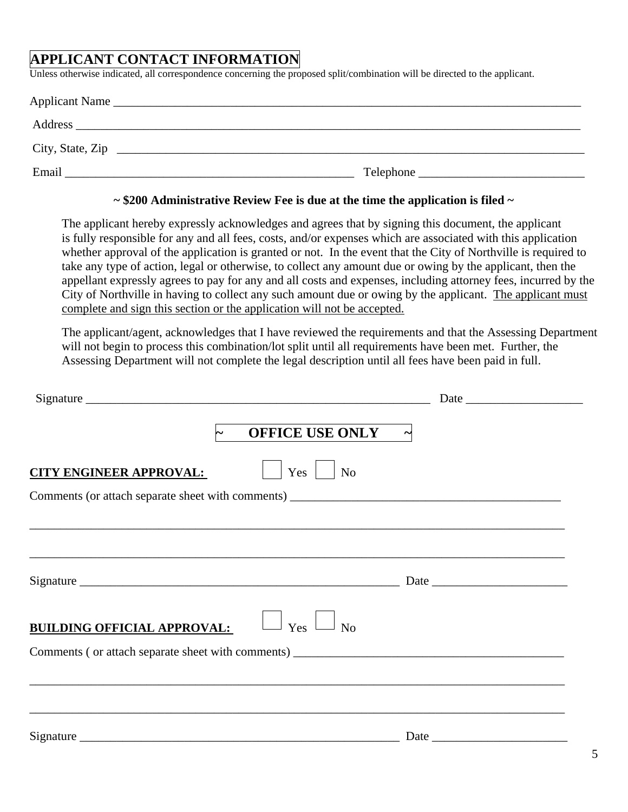# **APPLICANT CONTACT INFORMATION**

Unless otherwise indicated, all correspondence concerning the proposed split/combination will be directed to the applicant.

| Applicant Name                                                       |           |
|----------------------------------------------------------------------|-----------|
| Address<br><u> 1989 - John Stone, Amerikaansk politiker († 1989)</u> |           |
| City, State, Zip                                                     |           |
| Email                                                                | Telephone |

#### **~ \$200 Administrative Review Fee is due at the time the application is filed ~**

The applicant hereby expressly acknowledges and agrees that by signing this document, the applicant is fully responsible for any and all fees, costs, and/or expenses which are associated with this application whether approval of the application is granted or not. In the event that the City of Northville is required to take any type of action, legal or otherwise, to collect any amount due or owing by the applicant, then the appellant expressly agrees to pay for any and all costs and expenses, including attorney fees, incurred by the City of Northville in having to collect any such amount due or owing by the applicant. The applicant must complete and sign this section or the application will not be accepted.

The applicant/agent, acknowledges that I have reviewed the requirements and that the Assessing Department will not begin to process this combination/lot split until all requirements have been met. Further, the Assessing Department will not complete the legal description until all fees have been paid in full.

|                                                                                   | <b>OFFICE USE ONLY</b>       |  |
|-----------------------------------------------------------------------------------|------------------------------|--|
| <b>CITY ENGINEER APPROVAL:</b>                                                    | Yes<br>N <sub>o</sub>        |  |
|                                                                                   |                              |  |
|                                                                                   |                              |  |
|                                                                                   |                              |  |
|                                                                                   |                              |  |
| <b>BUILDING OFFICIAL APPROVAL:</b>                                                | $\Box$ Yes<br>N <sub>0</sub> |  |
|                                                                                   |                              |  |
|                                                                                   |                              |  |
| ,我们也不能在这里的人,我们也不能在这里的人,我们也不能在这里的人,我们也不能在这里的人,我们也不能在这里的人,我们也不能在这里的人,我们也不能在这里的人,我们也 |                              |  |
|                                                                                   |                              |  |